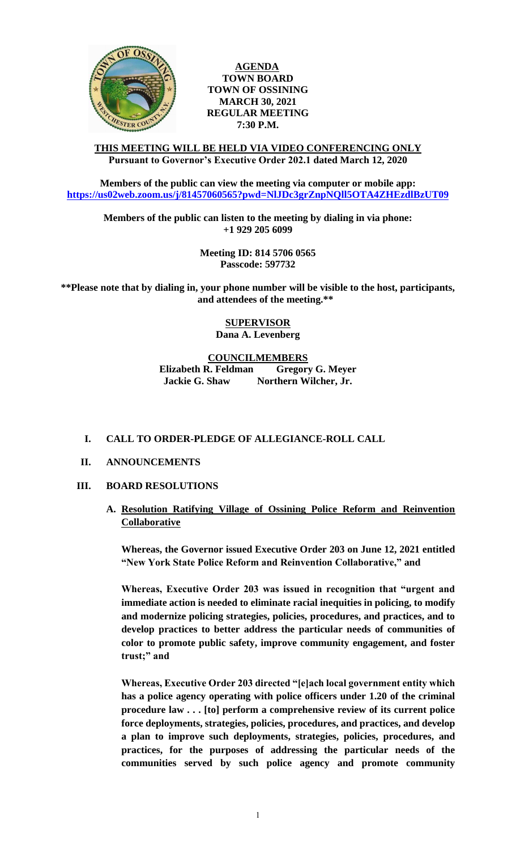

**AGENDA TOWN BOARD TOWN OF OSSINING MARCH 30, 2021 REGULAR MEETING 7:30 P.M.**

## **THIS MEETING WILL BE HELD VIA VIDEO CONFERENCING ONLY Pursuant to Governor's Executive Order 202.1 dated March 12, 2020**

**Members of the public can view the meeting via computer or mobile app: <https://us02web.zoom.us/j/81457060565?pwd=NlJDc3grZnpNQll5OTA4ZHEzdlBzUT09>**

**Members of the public can listen to the meeting by dialing in via phone: +1 929 205 6099** 

> **Meeting ID: 814 5706 0565 Passcode: 597732**

**\*\*Please note that by dialing in, your phone number will be visible to the host, participants, and attendees of the meeting.\*\*** 

> **SUPERVISOR Dana A. Levenberg**

**COUNCILMEMBERS Elizabeth R. Feldman Gregory G. Meyer**

**Jackie G. Shaw Northern Wilcher, Jr.**

## **I. CALL TO ORDER-PLEDGE OF ALLEGIANCE-ROLL CALL**

**II. ANNOUNCEMENTS**

## **III. BOARD RESOLUTIONS**

**A. Resolution Ratifying Village of Ossining Police Reform and Reinvention Collaborative**

**Whereas, the Governor issued Executive Order 203 on June 12, 2021 entitled "New York State Police Reform and Reinvention Collaborative," and**

**Whereas, Executive Order 203 was issued in recognition that "urgent and immediate action is needed to eliminate racial inequities in policing, to modify and modernize policing strategies, policies, procedures, and practices, and to develop practices to better address the particular needs of communities of color to promote public safety, improve community engagement, and foster trust;" and** 

**Whereas, Executive Order 203 directed "[e]ach local government entity which has a police agency operating with police officers under 1.20 of the criminal procedure law . . . [to] perform a comprehensive review of its current police force deployments, strategies, policies, procedures, and practices, and develop a plan to improve such deployments, strategies, policies, procedures, and practices, for the purposes of addressing the particular needs of the communities served by such police agency and promote community**